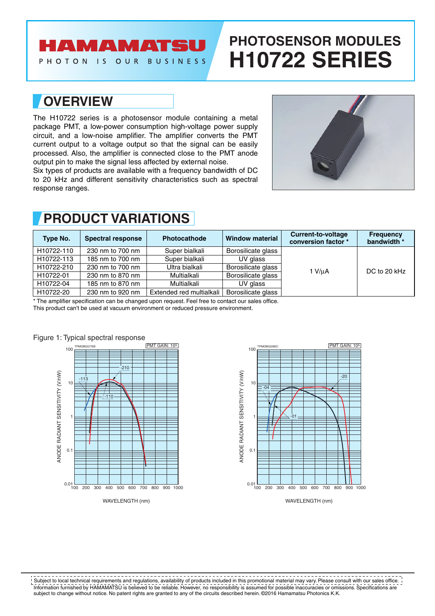## **AMAMATSU**

PHOTON IS OUR BUSINESS

# **PHOTOSENSOR MODULES H10722 SERIES**

## **OVERVIEW**

The H10722 series is a photosensor module containing a metal package PMT, a low-power consumption high-voltage power supply circuit, and a low-noise amplifier. The amplifier converts the PMT current output to a voltage output so that the signal can be easily processed. Also, the amplifier is connected close to the PMT anode output pin to make the signal less affected by external noise.

Six types of products are available with a frequency bandwidth of DC to 20 kHz and different sensitivity characteristics such as spectral response ranges.



## **PRODUCT VARIATIONS**

| Type No.   | <b>Spectral response</b> | Photocathode             | <b>Window material</b> | Current-to-voltage<br>conversion factor * | <b>Frequency</b><br>bandwidth * |  |
|------------|--------------------------|--------------------------|------------------------|-------------------------------------------|---------------------------------|--|
| H10722-110 | 230 nm to 700 nm         | Super bialkali           | Borosilicate glass     | 1 V/uA                                    | DC to 20 kHz                    |  |
| H10722-113 | 185 nm to 700 nm         | Super bialkali           | UV glass               |                                           |                                 |  |
| H10722-210 | 230 nm to 700 nm         | Ultra bialkali           | Borosilicate glass     |                                           |                                 |  |
| H10722-01  | 230 nm to 870 nm         | Multialkali              | Borosilicate glass     |                                           |                                 |  |
| H10722-04  | 185 nm to 870 nm         | Multialkali              | UV glass               |                                           |                                 |  |
| H10722-20  | 230 nm to 920 nm         | Extended red multialkali | Borosilicate glass     |                                           |                                 |  |

\* The amplifier specification can be changed upon request. Feel free to contact our sales office.

This product can't be used at vacuum environment or reduced pressure environment.





Information furnished by HAMAMATSU is believed to be reliable. However, no responsibility is assumed for possible inaccuracies or omissions. Specifications are subject to change without notice. No patent rights are granted to any of the circuits described herein. ©2016 Hamamatsu Photonics K.K. Subject to local technical requirements and regulations, availability of products included in this promotional material may vary. Please consult with our sales office.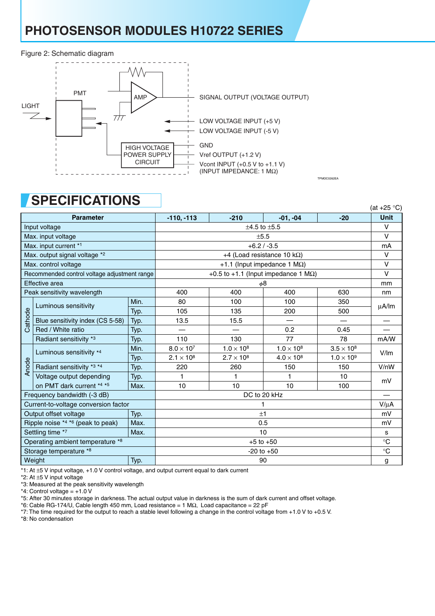## **PHOTOSENSOR MODULES H10722 SERIES**

#### Figure 2: Schematic diagram



## **SPECIFICATIONS**

|                                           |                                              |                  |                                             |                     |                     |                     | וט טאדו     |  |
|-------------------------------------------|----------------------------------------------|------------------|---------------------------------------------|---------------------|---------------------|---------------------|-------------|--|
|                                           | <b>Parameter</b>                             |                  | $-110, -113$                                | $-210$              | $-01, -04$          | $-20$               | <b>Unit</b> |  |
| Input voltage                             |                                              | $±4.5$ to $±5.5$ |                                             |                     |                     |                     |             |  |
| Max. input voltage                        |                                              |                  | ±5.5                                        |                     |                     |                     |             |  |
| Max. input current *1                     |                                              |                  | $+6.2 / -3.5$                               |                     |                     |                     |             |  |
| Max. output signal voltage *2             |                                              |                  | +4 (Load resistance 10 k $\Omega$ )         |                     |                     |                     |             |  |
| Max. control voltage                      |                                              |                  | +1.1 (Input impedance 1 $M\Omega$ )         |                     |                     |                     |             |  |
|                                           | Recommended control voltage adjustment range |                  | +0.5 to +1.1 (Input impedance 1 $M\Omega$ ) |                     |                     |                     |             |  |
| Effective area                            |                                              |                  |                                             | mm                  |                     |                     |             |  |
|                                           | Peak sensitivity wavelength                  |                  | 400                                         | 400                 | 400                 | 630                 | nm          |  |
|                                           | Luminous sensitivity                         | Min.             | 80                                          | 100                 | 100                 | 350                 |             |  |
|                                           |                                              | Typ.             | 105                                         | 135                 | 200                 | 500                 | μA/lm       |  |
| Cathode                                   | Blue sensitivity index (CS 5-58)             | Typ.             | 13.5                                        | 15.5                |                     |                     |             |  |
|                                           | Red / White ratio                            | Typ.             | $\overline{\phantom{0}}$                    |                     | 0.2                 | 0.45                |             |  |
|                                           | Radiant sensitivity *3                       | Typ.             | 110                                         | 130                 | 77                  | 78                  | mA/W        |  |
|                                           | Luminous sensitivity *4                      | Min.             | $8.0 \times 10^7$                           | $1.0 \times 10^8$   | $1.0 \times 10^{8}$ | $3.5 \times 10^8$   | V/m         |  |
|                                           |                                              | Typ.             | $2.1 \times 10^{8}$                         | $2.7 \times 10^{8}$ | $4.0 \times 10^{8}$ | $1.0 \times 10^{9}$ |             |  |
| Anode                                     | Radiant sensitivity *3 *4                    | Typ.             | 220                                         | 260                 | 150                 | 150                 | V/nW        |  |
|                                           | Voltage output depending                     | Typ.             | 1                                           |                     | 1                   | 10                  | mV          |  |
|                                           | on PMT dark current *4 *5                    | Max.             | 10                                          | 10                  | 10                  | 100                 |             |  |
| Frequency bandwidth (-3 dB)               |                                              |                  |                                             | DC to 20 kHz        |                     |                     |             |  |
|                                           | Current-to-voltage conversion factor         |                  |                                             |                     |                     |                     |             |  |
| Output offset voltage<br>Typ.             |                                              | ±1               |                                             |                     |                     |                     |             |  |
| Ripple noise *4 *6 (peak to peak)<br>Max. |                                              | 0.5              |                                             |                     |                     |                     |             |  |
| Settling time *7<br>Max.                  |                                              | 10               |                                             |                     |                     |                     |             |  |
| Operating ambient temperature *8          |                                              | $+5$ to $+50$    |                                             |                     |                     |                     |             |  |
| Storage temperature *8                    |                                              |                  | $-20$ to $+50$                              |                     |                     |                     |             |  |
| Weight<br>Typ.                            |                                              | 90               |                                             |                     |                     |                     |             |  |

 $(A+1)$  $(25)$ 

TPMOC0262EA

\*1: At ±5 V input voltage, +1.0 V control voltage, and output current equal to dark current

\*2: At ±5 V input voltage

\*3: Measured at the peak sensitivity wavelength

\*4: Control voltage =  $+1.0$  V

\*5: After 30 minutes storage in darkness. The actual output value in darkness is the sum of dark current and offset voltage.

\*6: Cable RG-174/U, Cable length 450 mm, Load resistance = 1 MΩ, Load capacitance = 22 pF

\*7: The time required for the output to reach a stable level following a change in the control voltage from +1.0 V to +0.5 V.

\*8: No condensation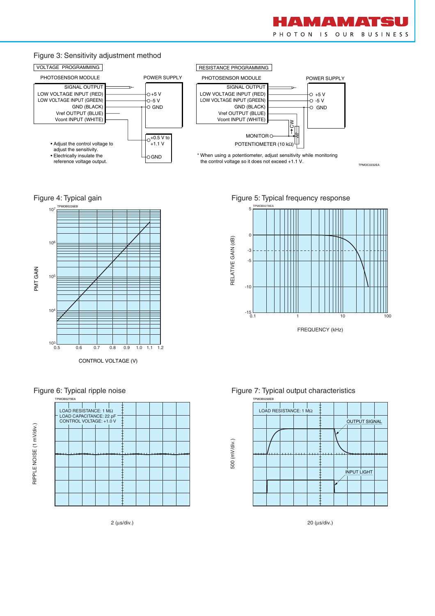

TPMOC0232EA

#### Figure 3: Sensitivity adjustment method



Figure 4: Typical gain







2 (µs/div.)

Figure 5: Typical frequency response







20 (µs/div.)